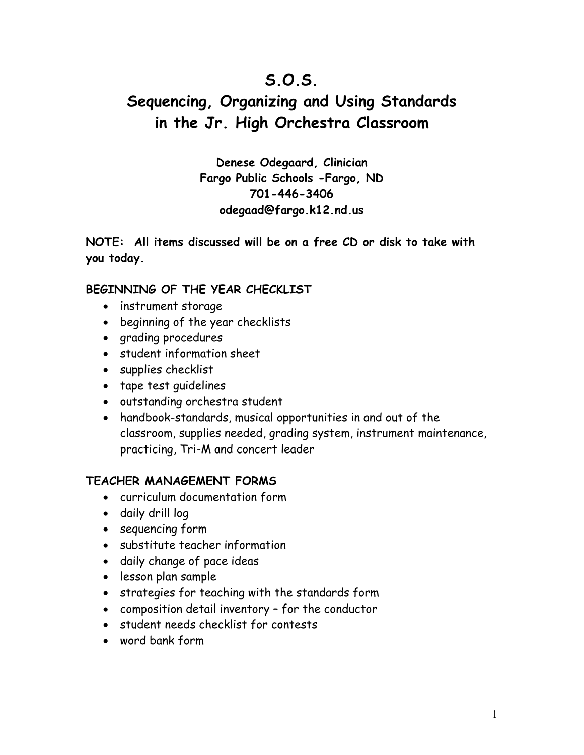## **S.O.S.**

# **Sequencing, Organizing and Using Standards in the Jr. High Orchestra Classroom**

**Denese Odegaard, Clinician Fargo Public Schools -Fargo, ND 701-446-3406 odegaad@fargo.k12.nd.us** 

**NOTE: All items discussed will be on a free CD or disk to take with you today.** 

### **BEGINNING OF THE YEAR CHECKLIST**

- instrument storage
- beginning of the year checklists
- grading procedures
- student information sheet
- supplies checklist
- tape test guidelines
- outstanding orchestra student
- handbook-standards, musical opportunities in and out of the classroom, supplies needed, grading system, instrument maintenance, practicing, Tri-M and concert leader

### **TEACHER MANAGEMENT FORMS**

- curriculum documentation form
- daily drill log
- sequencing form
- substitute teacher information
- daily change of pace ideas
- lesson plan sample
- strategies for teaching with the standards form
- composition detail inventory for the conductor
- student needs checklist for contests
- word bank form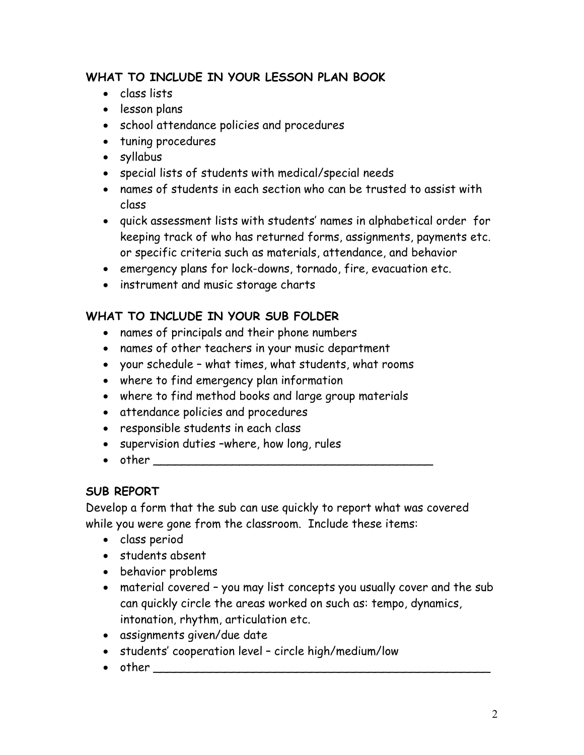### **WHAT TO INCLUDE IN YOUR LESSON PLAN BOOK**

- class lists
- lesson plans
- school attendance policies and procedures
- tuning procedures
- syllabus
- special lists of students with medical/special needs
- names of students in each section who can be trusted to assist with class
- quick assessment lists with students' names in alphabetical order for keeping track of who has returned forms, assignments, payments etc. or specific criteria such as materials, attendance, and behavior
- emergency plans for lock-downs, tornado, fire, evacuation etc.
- instrument and music storage charts

### **WHAT TO INCLUDE IN YOUR SUB FOLDER**

- names of principals and their phone numbers
- names of other teachers in your music department
- your schedule what times, what students, what rooms
- where to find emergency plan information
- where to find method books and large group materials
- attendance policies and procedures
- responsible students in each class
- supervision duties –where, how long, rules
- $\bullet$  other  $\bullet$

### **SUB REPORT**

Develop a form that the sub can use quickly to report what was covered while you were gone from the classroom. Include these items:

- class period
- students absent
- behavior problems
- material covered you may list concepts you usually cover and the sub can quickly circle the areas worked on such as: tempo, dynamics, intonation, rhythm, articulation etc.
- assignments given/due date
- students' cooperation level circle high/medium/low
- other \_\_\_\_\_\_\_\_\_\_\_\_\_\_\_\_\_\_\_\_\_\_\_\_\_\_\_\_\_\_\_\_\_\_\_\_\_\_\_\_\_\_\_\_\_\_\_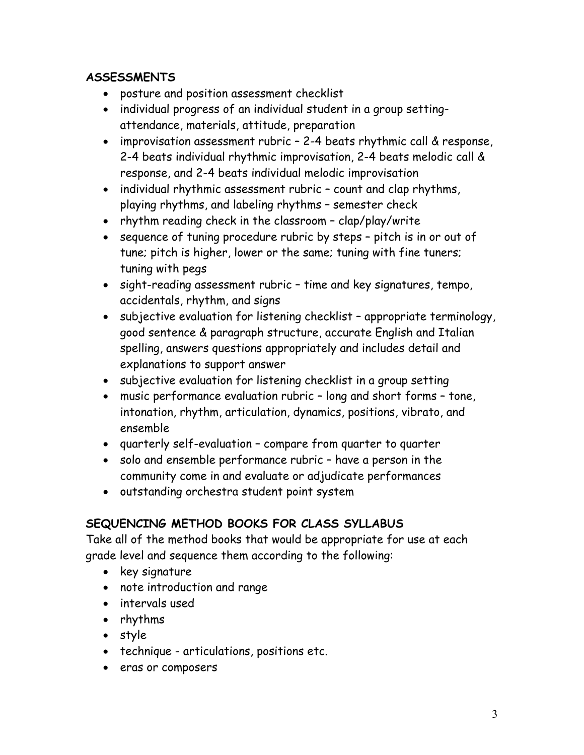### **ASSESSMENTS**

- posture and position assessment checklist
- individual progress of an individual student in a group settingattendance, materials, attitude, preparation
- improvisation assessment rubric 2-4 beats rhythmic call & response, 2-4 beats individual rhythmic improvisation, 2-4 beats melodic call & response, and 2-4 beats individual melodic improvisation
- individual rhythmic assessment rubric count and clap rhythms, playing rhythms, and labeling rhythms – semester check
- rhythm reading check in the classroom clap/play/write
- sequence of tuning procedure rubric by steps pitch is in or out of tune; pitch is higher, lower or the same; tuning with fine tuners; tuning with pegs
- sight-reading assessment rubric time and key signatures, tempo, accidentals, rhythm, and signs
- subjective evaluation for listening checklist appropriate terminology, good sentence & paragraph structure, accurate English and Italian spelling, answers questions appropriately and includes detail and explanations to support answer
- subjective evaluation for listening checklist in a group setting
- music performance evaluation rubric long and short forms tone, intonation, rhythm, articulation, dynamics, positions, vibrato, and ensemble
- quarterly self-evaluation compare from quarter to quarter
- solo and ensemble performance rubric have a person in the community come in and evaluate or adjudicate performances
- outstanding orchestra student point system

### **SEQUENCING METHOD BOOKS FOR CLASS SYLLABUS**

Take all of the method books that would be appropriate for use at each grade level and sequence them according to the following:

- key signature
- note introduction and range
- intervals used
- rhythms
- style
- technique articulations, positions etc.
- eras or composers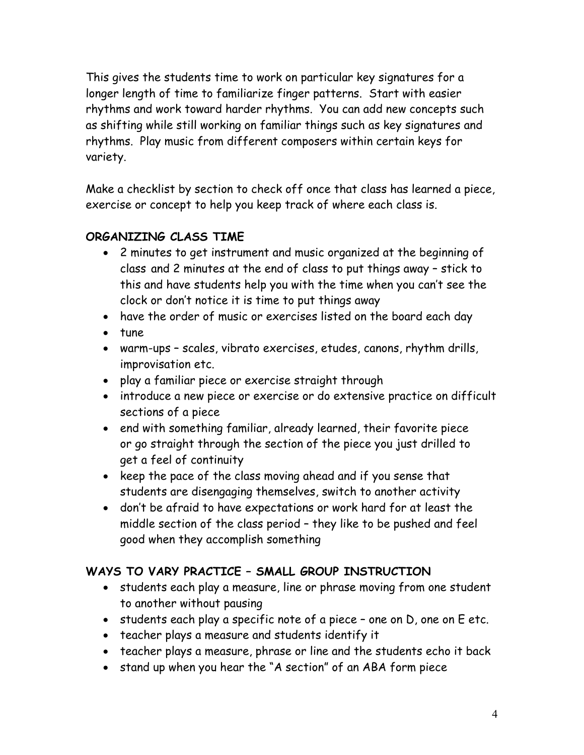This gives the students time to work on particular key signatures for a longer length of time to familiarize finger patterns. Start with easier rhythms and work toward harder rhythms. You can add new concepts such as shifting while still working on familiar things such as key signatures and rhythms. Play music from different composers within certain keys for variety.

Make a checklist by section to check off once that class has learned a piece, exercise or concept to help you keep track of where each class is.

### **ORGANIZING CLASS TIME**

- 2 minutes to get instrument and music organized at the beginning of class and 2 minutes at the end of class to put things away – stick to this and have students help you with the time when you can't see the clock or don't notice it is time to put things away
- have the order of music or exercises listed on the board each day
- tune
- warm-ups scales, vibrato exercises, etudes, canons, rhythm drills, improvisation etc.
- play a familiar piece or exercise straight through
- introduce a new piece or exercise or do extensive practice on difficult sections of a piece
- end with something familiar, already learned, their favorite piece or go straight through the section of the piece you just drilled to get a feel of continuity
- keep the pace of the class moving ahead and if you sense that students are disengaging themselves, switch to another activity
- don't be afraid to have expectations or work hard for at least the middle section of the class period – they like to be pushed and feel good when they accomplish something

### **WAYS TO VARY PRACTICE – SMALL GROUP INSTRUCTION**

- students each play a measure, line or phrase moving from one student to another without pausing
- students each play a specific note of a piece one on D, one on E etc.
- teacher plays a measure and students identify it
- teacher plays a measure, phrase or line and the students echo it back
- stand up when you hear the "A section" of an ABA form piece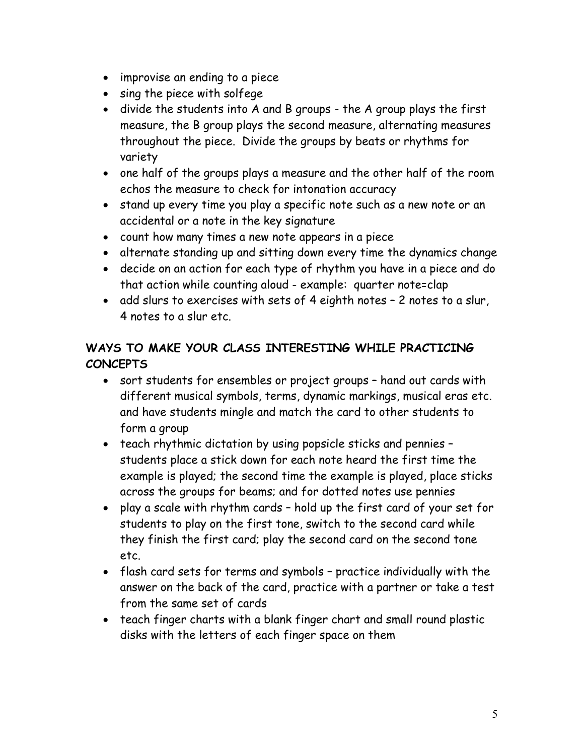- improvise an ending to a piece
- sing the piece with solfege
- divide the students into A and B groups the A group plays the first measure, the B group plays the second measure, alternating measures throughout the piece. Divide the groups by beats or rhythms for variety
- one half of the groups plays a measure and the other half of the room echos the measure to check for intonation accuracy
- stand up every time you play a specific note such as a new note or an accidental or a note in the key signature
- count how many times a new note appears in a piece
- alternate standing up and sitting down every time the dynamics change
- decide on an action for each type of rhythm you have in a piece and do that action while counting aloud - example: quarter note=clap
- add slurs to exercises with sets of 4 eighth notes 2 notes to a slur, 4 notes to a slur etc.

### **WAYS TO MAKE YOUR CLASS INTERESTING WHILE PRACTICING CONCEPTS**

- sort students for ensembles or project groups hand out cards with different musical symbols, terms, dynamic markings, musical eras etc. and have students mingle and match the card to other students to form a group
- teach rhythmic dictation by using popsicle sticks and pennies students place a stick down for each note heard the first time the example is played; the second time the example is played, place sticks across the groups for beams; and for dotted notes use pennies
- play a scale with rhythm cards hold up the first card of your set for students to play on the first tone, switch to the second card while they finish the first card; play the second card on the second tone etc.
- flash card sets for terms and symbols practice individually with the answer on the back of the card, practice with a partner or take a test from the same set of cards
- teach finger charts with a blank finger chart and small round plastic disks with the letters of each finger space on them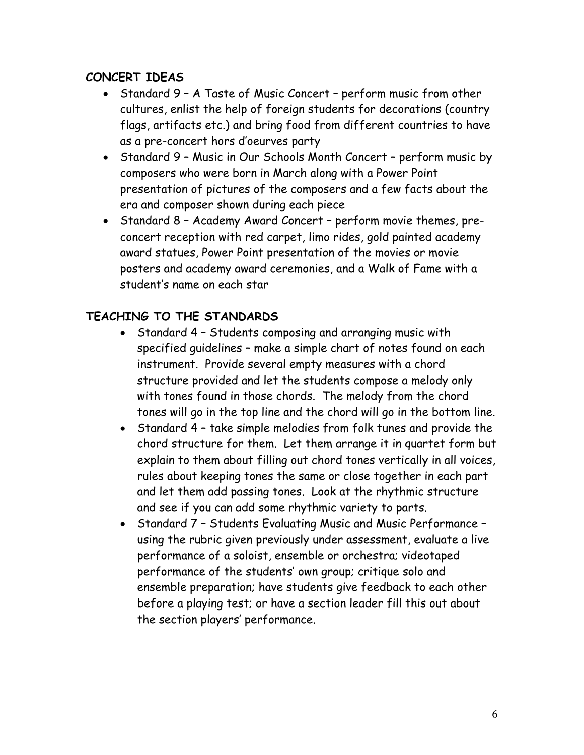### **CONCERT IDEAS**

- Standard 9 A Taste of Music Concert perform music from other cultures, enlist the help of foreign students for decorations (country flags, artifacts etc.) and bring food from different countries to have as a pre-concert hors d'oeurves party
- Standard 9 Music in Our Schools Month Concert perform music by composers who were born in March along with a Power Point presentation of pictures of the composers and a few facts about the era and composer shown during each piece
- Standard 8 Academy Award Concert perform movie themes, preconcert reception with red carpet, limo rides, gold painted academy award statues, Power Point presentation of the movies or movie posters and academy award ceremonies, and a Walk of Fame with a student's name on each star

### **TEACHING TO THE STANDARDS**

- Standard 4 Students composing and arranging music with specified guidelines – make a simple chart of notes found on each instrument. Provide several empty measures with a chord structure provided and let the students compose a melody only with tones found in those chords. The melody from the chord tones will go in the top line and the chord will go in the bottom line.
- Standard 4 take simple melodies from folk tunes and provide the chord structure for them. Let them arrange it in quartet form but explain to them about filling out chord tones vertically in all voices, rules about keeping tones the same or close together in each part and let them add passing tones. Look at the rhythmic structure and see if you can add some rhythmic variety to parts.
- Standard 7 Students Evaluating Music and Music Performance using the rubric given previously under assessment, evaluate a live performance of a soloist, ensemble or orchestra; videotaped performance of the students' own group; critique solo and ensemble preparation; have students give feedback to each other before a playing test; or have a section leader fill this out about the section players' performance.